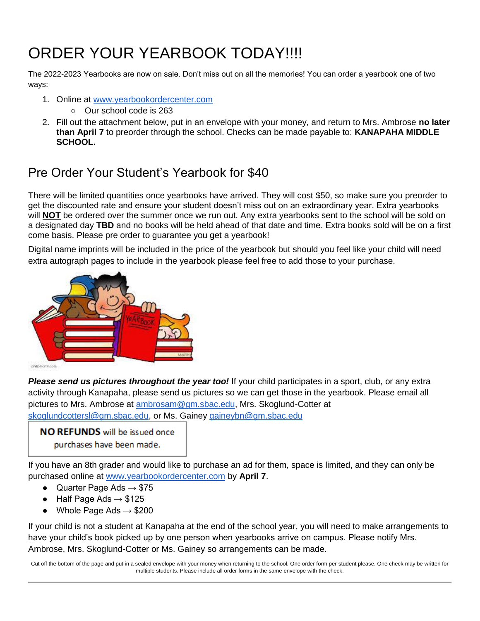## ORDER YOUR YEARBOOK TODAY!!!!

The 2022-2023 Yearbooks are now on sale. Don't miss out on all the memories! You can order a yearbook one of two ways:

- 1. Online at [www.yearbookordercenter.com](http://www.yearbookordercenter.com/)
	- Our school code is 263
- 2. Fill out the attachment below, put in an envelope with your money, and return to Mrs. Ambrose **no later than April 7** to preorder through the school. Checks can be made payable to: **KANAPAHA MIDDLE SCHOOL.**

## Pre Order Your Student's Yearbook for \$40

There will be limited quantities once yearbooks have arrived. They will cost \$50, so make sure you preorder to get the discounted rate and ensure your student doesn't miss out on an extraordinary year. Extra yearbooks will **NOT** be ordered over the summer once we run out. Any extra yearbooks sent to the school will be sold on a designated day **TBD** and no books will be held ahead of that date and time. Extra books sold will be on a first come basis. Please pre order to guarantee you get a yearbook!

Digital name imprints will be included in the price of the yearbook but should you feel like your child will need extra autograph pages to include in the yearbook please feel free to add those to your purchase.



```
philipinaringan
```
*Please send us pictures throughout the year too!* If your child participates in a sport, club, or any extra activity through Kanapaha, please send us pictures so we can get those in the yearbook. Please email all pictures to Mrs. Ambrose at [ambrosam@gm.sbac.edu,](mailto:ambrosam@gm.sbac.edu) Mrs. Skoglund-Cotter at [skoglundcottersl@gm.sbac.edu,](mailto:skoglundcottersl@gm.sbac.edu) or Ms. Gainey [gaineybn@gm.sbac.edu](mailto:gaineybn@gm.sbac.edu)

**NO REFUNDS** will be issued once purchases have been made.

If you have an 8th grader and would like to purchase an ad for them, space is limited, and they can only be purchased online at [www.yearbookordercenter.com](http://www.yearbookordercenter.com/) by **April 7**.

- Quarter Page Ads  $\rightarrow$  \$75
- Half Page Ads  $\rightarrow$  \$125
- Whole Page Ads  $\rightarrow$  \$200

If your child is not a student at Kanapaha at the end of the school year, you will need to make arrangements to have your child's book picked up by one person when yearbooks arrive on campus. Please notify Mrs. Ambrose, Mrs. Skoglund-Cotter or Ms. Gainey so arrangements can be made.

Cut off the bottom of the page and put in a sealed envelope with your money when returning to the school. One order form per student please. One check may be written for multiple students. Please include all order forms in the same envelope with the check.